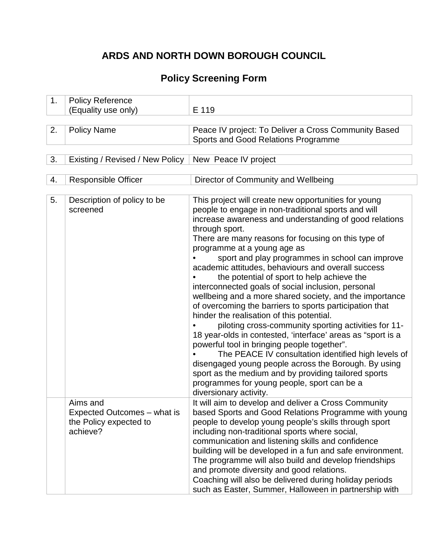# **ARDS AND NORTH DOWN BOROUGH COUNCIL**

# **Policy Screening Form**

| 1. | <b>Policy Reference</b>                                                       |                                                                                                                                                                                                                                                                                                                                                                                                                                                                                                                                                                                                                                                                                                                                                                                                                                                                                                                                                                                                                                                                                     |  |
|----|-------------------------------------------------------------------------------|-------------------------------------------------------------------------------------------------------------------------------------------------------------------------------------------------------------------------------------------------------------------------------------------------------------------------------------------------------------------------------------------------------------------------------------------------------------------------------------------------------------------------------------------------------------------------------------------------------------------------------------------------------------------------------------------------------------------------------------------------------------------------------------------------------------------------------------------------------------------------------------------------------------------------------------------------------------------------------------------------------------------------------------------------------------------------------------|--|
|    | (Equality use only)                                                           | E 119                                                                                                                                                                                                                                                                                                                                                                                                                                                                                                                                                                                                                                                                                                                                                                                                                                                                                                                                                                                                                                                                               |  |
|    |                                                                               |                                                                                                                                                                                                                                                                                                                                                                                                                                                                                                                                                                                                                                                                                                                                                                                                                                                                                                                                                                                                                                                                                     |  |
| 2. | <b>Policy Name</b>                                                            | Peace IV project: To Deliver a Cross Community Based<br>Sports and Good Relations Programme                                                                                                                                                                                                                                                                                                                                                                                                                                                                                                                                                                                                                                                                                                                                                                                                                                                                                                                                                                                         |  |
| 3. | Existing / Revised / New Policy                                               | New Peace IV project                                                                                                                                                                                                                                                                                                                                                                                                                                                                                                                                                                                                                                                                                                                                                                                                                                                                                                                                                                                                                                                                |  |
|    |                                                                               |                                                                                                                                                                                                                                                                                                                                                                                                                                                                                                                                                                                                                                                                                                                                                                                                                                                                                                                                                                                                                                                                                     |  |
| 4. | <b>Responsible Officer</b>                                                    | Director of Community and Wellbeing                                                                                                                                                                                                                                                                                                                                                                                                                                                                                                                                                                                                                                                                                                                                                                                                                                                                                                                                                                                                                                                 |  |
|    |                                                                               |                                                                                                                                                                                                                                                                                                                                                                                                                                                                                                                                                                                                                                                                                                                                                                                                                                                                                                                                                                                                                                                                                     |  |
| 5. | Description of policy to be<br>screened                                       | This project will create new opportunities for young<br>people to engage in non-traditional sports and will<br>increase awareness and understanding of good relations<br>through sport.<br>There are many reasons for focusing on this type of<br>programme at a young age as<br>sport and play programmes in school can improve<br>academic attitudes, behaviours and overall success<br>the potential of sport to help achieve the<br>interconnected goals of social inclusion, personal<br>wellbeing and a more shared society, and the importance<br>of overcoming the barriers to sports participation that<br>hinder the realisation of this potential.<br>piloting cross-community sporting activities for 11-<br>18 year-olds in contested, 'interface' areas as "sport is a<br>powerful tool in bringing people together".<br>The PEACE IV consultation identified high levels of<br>disengaged young people across the Borough. By using<br>sport as the medium and by providing tailored sports<br>programmes for young people, sport can be a<br>diversionary activity. |  |
|    | Aims and<br>Expected Outcomes – what is<br>the Policy expected to<br>achieve? | It will aim to develop and deliver a Cross Community<br>based Sports and Good Relations Programme with young<br>people to develop young people's skills through sport<br>including non-traditional sports where social,<br>communication and listening skills and confidence<br>building will be developed in a fun and safe environment.<br>The programme will also build and develop friendships<br>and promote diversity and good relations.<br>Coaching will also be delivered during holiday periods<br>such as Easter, Summer, Halloween in partnership with                                                                                                                                                                                                                                                                                                                                                                                                                                                                                                                  |  |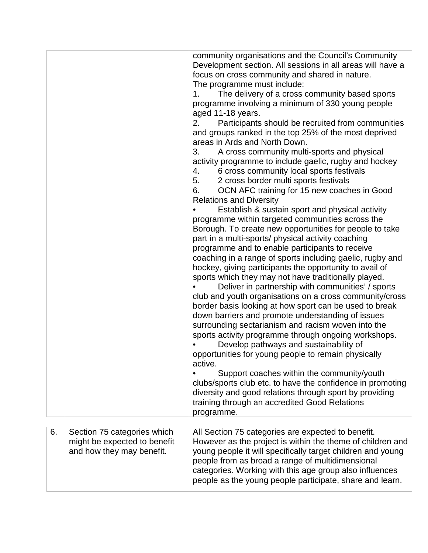|    |                                                                                          | community organisations and the Council's Community<br>Development section. All sessions in all areas will have a<br>focus on cross community and shared in nature.<br>The programme must include:<br>The delivery of a cross community based sports<br>$\mathbf{1}$ .<br>programme involving a minimum of 330 young people<br>aged 11-18 years.<br>2.<br>Participants should be recruited from communities<br>and groups ranked in the top 25% of the most deprived<br>areas in Ards and North Down.<br>A cross community multi-sports and physical<br>3.<br>activity programme to include gaelic, rugby and hockey<br>4.<br>6 cross community local sports festivals<br>5.<br>2 cross border multi sports festivals<br>OCN AFC training for 15 new coaches in Good<br>6.<br><b>Relations and Diversity</b><br>Establish & sustain sport and physical activity<br>programme within targeted communities across the<br>Borough. To create new opportunities for people to take<br>part in a multi-sports/ physical activity coaching<br>programme and to enable participants to receive<br>coaching in a range of sports including gaelic, rugby and<br>hockey, giving participants the opportunity to avail of<br>sports which they may not have traditionally played.<br>Deliver in partnership with communities' / sports<br>club and youth organisations on a cross community/cross<br>border basis looking at how sport can be used to break<br>down barriers and promote understanding of issues<br>surrounding sectarianism and racism woven into the<br>sports activity programme through ongoing workshops.<br>Develop pathways and sustainability of<br>opportunities for young people to remain physically<br>active.<br>Support coaches within the community/youth<br>clubs/sports club etc. to have the confidence in promoting<br>diversity and good relations through sport by providing<br>training through an accredited Good Relations<br>programme. |
|----|------------------------------------------------------------------------------------------|------------------------------------------------------------------------------------------------------------------------------------------------------------------------------------------------------------------------------------------------------------------------------------------------------------------------------------------------------------------------------------------------------------------------------------------------------------------------------------------------------------------------------------------------------------------------------------------------------------------------------------------------------------------------------------------------------------------------------------------------------------------------------------------------------------------------------------------------------------------------------------------------------------------------------------------------------------------------------------------------------------------------------------------------------------------------------------------------------------------------------------------------------------------------------------------------------------------------------------------------------------------------------------------------------------------------------------------------------------------------------------------------------------------------------------------------------------------------------------------------------------------------------------------------------------------------------------------------------------------------------------------------------------------------------------------------------------------------------------------------------------------------------------------------------------------------------------------------------------------------------------------------------------------------------------------------------------------------|
| 6. | Section 75 categories which<br>might be expected to benefit<br>and how they may benefit. | All Section 75 categories are expected to benefit.<br>However as the project is within the theme of children and<br>young people it will specifically target children and young<br>people from as broad a range of multidimensional<br>categories. Working with this age group also influences<br>people as the young people participate, share and learn.                                                                                                                                                                                                                                                                                                                                                                                                                                                                                                                                                                                                                                                                                                                                                                                                                                                                                                                                                                                                                                                                                                                                                                                                                                                                                                                                                                                                                                                                                                                                                                                                             |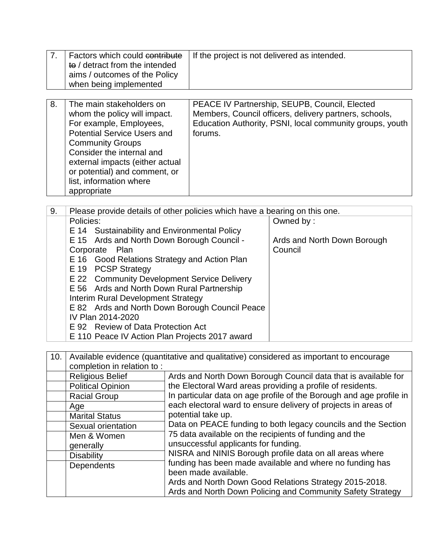| 7. | Factors which could contribute<br>to / detract from the intended<br>aims / outcomes of the Policy<br>when being implemented                                                       | If the project is not delivered as intended.                                                                                                                                   |
|----|-----------------------------------------------------------------------------------------------------------------------------------------------------------------------------------|--------------------------------------------------------------------------------------------------------------------------------------------------------------------------------|
| 8. | The main stakeholders on<br>whom the policy will impact.<br>For example, Employees,<br><b>Potential Service Users and</b><br><b>Community Groups</b><br>Consider the internal and | PEACE IV Partnership, SEUPB, Council, Elected<br>Members, Council officers, delivery partners, schools,<br>Education Authority, PSNI, local community groups, youth<br>forums. |

external impacts (either actual or potential) and comment, or

list, information where

appropriate

| 9.                                          | Please provide details of other policies which have a bearing on this one. |                             |  |
|---------------------------------------------|----------------------------------------------------------------------------|-----------------------------|--|
|                                             | Policies:                                                                  | Owned by:                   |  |
|                                             | E 14 Sustainability and Environmental Policy                               |                             |  |
|                                             | E 15 Ards and North Down Borough Council -                                 | Ards and North Down Borough |  |
|                                             | Corporate Plan                                                             | Council                     |  |
|                                             | E 16 Good Relations Strategy and Action Plan                               |                             |  |
|                                             | E 19 PCSP Strategy                                                         |                             |  |
| E 22 Community Development Service Delivery |                                                                            |                             |  |
|                                             | E 56 Ards and North Down Rural Partnership                                 |                             |  |
|                                             | Interim Rural Development Strategy                                         |                             |  |
|                                             | E 82 Ards and North Down Borough Council Peace                             |                             |  |
|                                             | IV Plan 2014-2020                                                          |                             |  |
|                                             | E 92 Review of Data Protection Act                                         |                             |  |
|                                             | E 110 Peace IV Action Plan Projects 2017 award                             |                             |  |

| 10. | Available evidence (quantitative and qualitative) considered as important to encourage |                                                                                                                                                       |  |
|-----|----------------------------------------------------------------------------------------|-------------------------------------------------------------------------------------------------------------------------------------------------------|--|
|     | completion in relation to:                                                             |                                                                                                                                                       |  |
|     | <b>Religious Belief</b>                                                                | Ards and North Down Borough Council data that is available for                                                                                        |  |
|     | <b>Political Opinion</b>                                                               | the Electoral Ward areas providing a profile of residents.                                                                                            |  |
|     | <b>Racial Group</b>                                                                    | In particular data on age profile of the Borough and age profile in                                                                                   |  |
|     | Age                                                                                    | each electoral ward to ensure delivery of projects in areas of<br>potential take up.<br>Data on PEACE funding to both legacy councils and the Section |  |
|     | <b>Marital Status</b>                                                                  |                                                                                                                                                       |  |
|     | Sexual orientation                                                                     |                                                                                                                                                       |  |
|     | Men & Women                                                                            | 75 data available on the recipients of funding and the<br>unsuccessful applicants for funding.                                                        |  |
|     | generally                                                                              |                                                                                                                                                       |  |
|     | <b>Disability</b>                                                                      | NISRA and NINIS Borough profile data on all areas where                                                                                               |  |
|     | Dependents                                                                             | funding has been made available and where no funding has                                                                                              |  |
|     |                                                                                        | been made available.                                                                                                                                  |  |
|     |                                                                                        | Ards and North Down Good Relations Strategy 2015-2018.                                                                                                |  |
|     |                                                                                        | Ards and North Down Policing and Community Safety Strategy                                                                                            |  |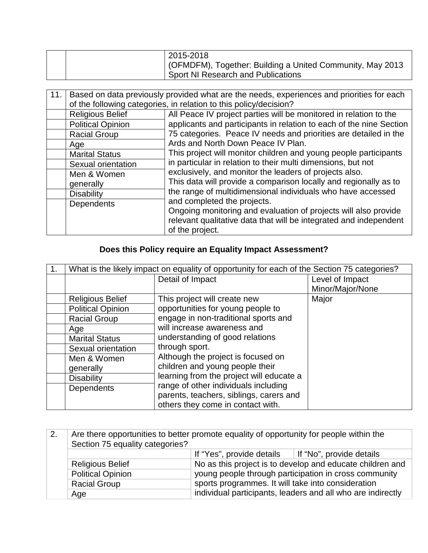|  | 2015-2018                                                 |
|--|-----------------------------------------------------------|
|  | (OFMDFM), Together: Building a United Community, May 2013 |
|  | <b>Sport NI Research and Publications</b>                 |

| 11. | Based on data previously provided what are the needs, experiences and priorities for each |                                                                     |  |
|-----|-------------------------------------------------------------------------------------------|---------------------------------------------------------------------|--|
|     | of the following categories, in relation to this policy/decision?                         |                                                                     |  |
|     | <b>Religious Belief</b>                                                                   | All Peace IV project parties will be monitored in relation to the   |  |
|     | <b>Political Opinion</b>                                                                  | applicants and participants in relation to each of the nine Section |  |
|     | <b>Racial Group</b>                                                                       | 75 categories. Peace IV needs and priorities are detailed in the    |  |
|     | Age                                                                                       | Ards and North Down Peace IV Plan.                                  |  |
|     | <b>Marital Status</b>                                                                     | This project will monitor children and young people participants    |  |
|     | Sexual orientation                                                                        | in particular in relation to their multi dimensions, but not        |  |
|     | Men & Women                                                                               | exclusively, and monitor the leaders of projects also.              |  |
|     | generally                                                                                 | This data will provide a comparison locally and regionally as to    |  |
|     | <b>Disability</b>                                                                         | the range of multidimensional individuals who have accessed         |  |
|     | Dependents                                                                                | and completed the projects.                                         |  |
|     |                                                                                           | Ongoing monitoring and evaluation of projects will also provide     |  |
|     |                                                                                           | relevant qualitative data that will be integrated and independent   |  |
|     |                                                                                           | of the project.                                                     |  |

# **Does this Policy require an Equality Impact Assessment?**

| What is the likely impact on equality of opportunity for each of the Section 75 categories? |                                          |                  |
|---------------------------------------------------------------------------------------------|------------------------------------------|------------------|
|                                                                                             | Detail of Impact                         | Level of Impact  |
|                                                                                             |                                          | Minor/Major/None |
| <b>Religious Belief</b>                                                                     | This project will create new             | Major            |
| <b>Political Opinion</b>                                                                    | opportunities for young people to        |                  |
| <b>Racial Group</b>                                                                         | engage in non-traditional sports and     |                  |
| Age                                                                                         | will increase awareness and              |                  |
| <b>Marital Status</b>                                                                       | understanding of good relations          |                  |
| Sexual orientation                                                                          | through sport.                           |                  |
| Men & Women                                                                                 | Although the project is focused on       |                  |
| generally                                                                                   | children and young people their          |                  |
| <b>Disability</b>                                                                           | learning from the project will educate a |                  |
| <b>Dependents</b>                                                                           | range of other individuals including     |                  |
|                                                                                             | parents, teachers, siblings, carers and  |                  |
|                                                                                             | others they come in contact with.        |                  |

| 2.                                                                                                                                                                        | Are there opportunities to better promote equality of opportunity for people within the<br>Section 75 equality categories? |                                                    |                                                             |
|---------------------------------------------------------------------------------------------------------------------------------------------------------------------------|----------------------------------------------------------------------------------------------------------------------------|----------------------------------------------------|-------------------------------------------------------------|
|                                                                                                                                                                           |                                                                                                                            |                                                    |                                                             |
| If "Yes", provide details $\parallel$ If "No", provide details                                                                                                            |                                                                                                                            |                                                    |                                                             |
| No as this project is to develop and educate children and<br><b>Religious Belief</b><br>young people through participation in cross community<br><b>Political Opinion</b> |                                                                                                                            |                                                    |                                                             |
|                                                                                                                                                                           |                                                                                                                            |                                                    |                                                             |
|                                                                                                                                                                           | <b>Racial Group</b>                                                                                                        | sports programmes. It will take into consideration |                                                             |
|                                                                                                                                                                           | Age                                                                                                                        |                                                    | individual participants, leaders and all who are indirectly |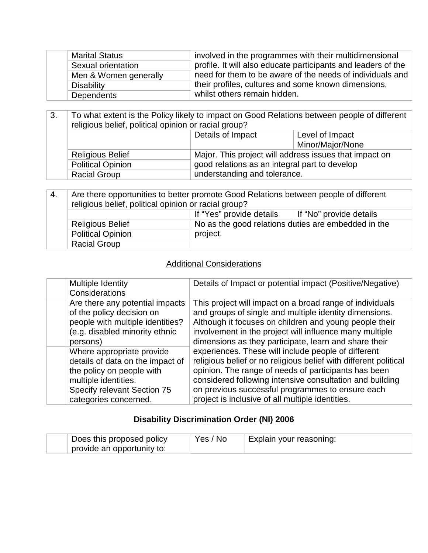| <b>Marital Status</b> | involved in the programmes with their multidimensional        |
|-----------------------|---------------------------------------------------------------|
| Sexual orientation    | profile. It will also educate participants and leaders of the |
| Men & Women generally | need for them to be aware of the needs of individuals and     |
| Disability            | their profiles, cultures and some known dimensions,           |
| <b>Dependents</b>     | whilst others remain hidden.                                  |

| 3.                                                                                                                                                             | To what extent is the Policy likely to impact on Good Relations between people of different<br>religious belief, political opinion or racial group? |                              |                  |
|----------------------------------------------------------------------------------------------------------------------------------------------------------------|-----------------------------------------------------------------------------------------------------------------------------------------------------|------------------------------|------------------|
|                                                                                                                                                                | Details of Impact<br>Level of Impact                                                                                                                |                              |                  |
|                                                                                                                                                                |                                                                                                                                                     |                              | Minor/Major/None |
| Major. This project will address issues that impact on<br><b>Religious Belief</b><br>good relations as an integral part to develop<br><b>Political Opinion</b> |                                                                                                                                                     |                              |                  |
|                                                                                                                                                                |                                                                                                                                                     |                              |                  |
|                                                                                                                                                                | <b>Racial Group</b>                                                                                                                                 | understanding and tolerance. |                  |

| 4. | Are there opportunities to better promote Good Relations between people of different |                                                     |  |  |
|----|--------------------------------------------------------------------------------------|-----------------------------------------------------|--|--|
|    | religious belief, political opinion or racial group?                                 |                                                     |  |  |
|    | If "Yes" provide details<br>If "No" provide details                                  |                                                     |  |  |
|    | <b>Religious Belief</b>                                                              | No as the good relations duties are embedded in the |  |  |
|    | <b>Political Opinion</b>                                                             | project.                                            |  |  |
|    | <b>Racial Group</b>                                                                  |                                                     |  |  |

## **Additional Considerations**

| Multiple Identity<br>Considerations                                                                                                                                        | Details of Impact or potential impact (Positive/Negative)                                                                                                                                                                                                                                                                                           |
|----------------------------------------------------------------------------------------------------------------------------------------------------------------------------|-----------------------------------------------------------------------------------------------------------------------------------------------------------------------------------------------------------------------------------------------------------------------------------------------------------------------------------------------------|
| Are there any potential impacts<br>of the policy decision on<br>people with multiple identities?<br>(e.g. disabled minority ethnic<br>persons)                             | This project will impact on a broad range of individuals<br>and groups of single and multiple identity dimensions.<br>Although it focuses on children and young people their<br>involvement in the project will influence many multiple<br>dimensions as they participate, learn and share their                                                    |
| Where appropriate provide<br>details of data on the impact of<br>the policy on people with<br>multiple identities.<br>Specify relevant Section 75<br>categories concerned. | experiences. These will include people of different<br>religious belief or no religious belief with different political<br>opinion. The range of needs of participants has been<br>considered following intensive consultation and building<br>on previous successful programmes to ensure each<br>project is inclusive of all multiple identities. |

## **Disability Discrimination Order (NI) 2006**

| Does this proposed policy  | Yes / No | Explain your reasoning: |
|----------------------------|----------|-------------------------|
| provide an opportunity to: |          |                         |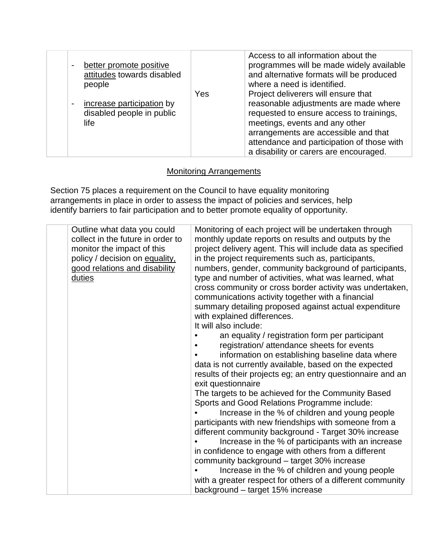| better promote positive<br>$\blacksquare$<br>attitudes towards disabled<br>people<br>increase participation by<br>$\overline{\phantom{a}}$<br>disabled people in public<br>life | Yes | Access to all information about the<br>programmes will be made widely available<br>and alternative formats will be produced<br>where a need is identified.<br>Project deliverers will ensure that<br>reasonable adjustments are made where<br>requested to ensure access to trainings,<br>meetings, events and any other<br>arrangements are accessible and that<br>attendance and participation of those with |
|---------------------------------------------------------------------------------------------------------------------------------------------------------------------------------|-----|----------------------------------------------------------------------------------------------------------------------------------------------------------------------------------------------------------------------------------------------------------------------------------------------------------------------------------------------------------------------------------------------------------------|
|                                                                                                                                                                                 |     | a disability or carers are encouraged.                                                                                                                                                                                                                                                                                                                                                                         |

### Monitoring Arrangements

Section 75 places a requirement on the Council to have equality monitoring arrangements in place in order to assess the impact of policies and services, help identify barriers to fair participation and to better promote equality of opportunity.

| Outline what data you could<br>collect in the future in order to<br>monitor the impact of this<br>policy / decision on equality,<br>good relations and disability<br>duties | Monitoring of each project will be undertaken through<br>monthly update reports on results and outputs by the<br>project delivery agent. This will include data as specified<br>in the project requirements such as, participants,<br>numbers, gender, community background of participants,<br>type and number of activities, what was learned, what<br>cross community or cross border activity was undertaken,<br>communications activity together with a financial<br>summary detailing proposed against actual expenditure<br>with explained differences.<br>It will also include:<br>an equality / registration form per participant<br>registration/ attendance sheets for events<br>information on establishing baseline data where<br>data is not currently available, based on the expected<br>results of their projects eg; an entry questionnaire and an<br>exit questionnaire<br>The targets to be achieved for the Community Based<br>Sports and Good Relations Programme include:<br>Increase in the % of children and young people<br>participants with new friendships with someone from a<br>different community background - Target 30% increase<br>Increase in the % of participants with an increase<br>in confidence to engage with others from a different<br>community background - target 30% increase |
|-----------------------------------------------------------------------------------------------------------------------------------------------------------------------------|---------------------------------------------------------------------------------------------------------------------------------------------------------------------------------------------------------------------------------------------------------------------------------------------------------------------------------------------------------------------------------------------------------------------------------------------------------------------------------------------------------------------------------------------------------------------------------------------------------------------------------------------------------------------------------------------------------------------------------------------------------------------------------------------------------------------------------------------------------------------------------------------------------------------------------------------------------------------------------------------------------------------------------------------------------------------------------------------------------------------------------------------------------------------------------------------------------------------------------------------------------------------------------------------------------------------------------|
|                                                                                                                                                                             |                                                                                                                                                                                                                                                                                                                                                                                                                                                                                                                                                                                                                                                                                                                                                                                                                                                                                                                                                                                                                                                                                                                                                                                                                                                                                                                                 |
|                                                                                                                                                                             | Increase in the % of children and young people                                                                                                                                                                                                                                                                                                                                                                                                                                                                                                                                                                                                                                                                                                                                                                                                                                                                                                                                                                                                                                                                                                                                                                                                                                                                                  |
|                                                                                                                                                                             | with a greater respect for others of a different community                                                                                                                                                                                                                                                                                                                                                                                                                                                                                                                                                                                                                                                                                                                                                                                                                                                                                                                                                                                                                                                                                                                                                                                                                                                                      |
|                                                                                                                                                                             | background - target 15% increase                                                                                                                                                                                                                                                                                                                                                                                                                                                                                                                                                                                                                                                                                                                                                                                                                                                                                                                                                                                                                                                                                                                                                                                                                                                                                                |
|                                                                                                                                                                             |                                                                                                                                                                                                                                                                                                                                                                                                                                                                                                                                                                                                                                                                                                                                                                                                                                                                                                                                                                                                                                                                                                                                                                                                                                                                                                                                 |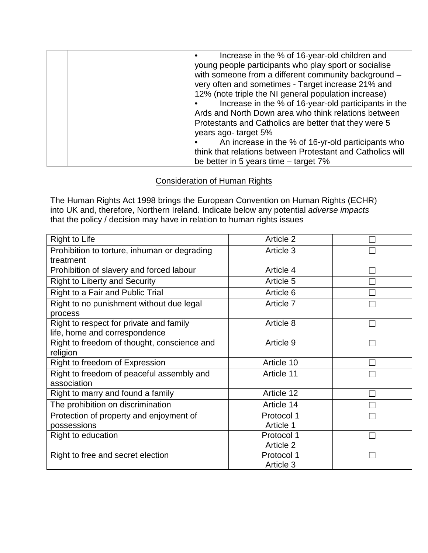| Increase in the % of 16-year-old children and              |
|------------------------------------------------------------|
| young people participants who play sport or socialise      |
| with someone from a different community background -       |
| very often and sometimes - Target increase 21% and         |
| 12% (note triple the NI general population increase)       |
| Increase in the % of 16-year-old participants in the       |
| Ards and North Down area who think relations between       |
| Protestants and Catholics are better that they were 5      |
| years ago-target 5%                                        |
| An increase in the % of 16-yr-old participants who         |
| think that relations between Protestant and Catholics will |
| be better in 5 years time $-$ target 7%                    |

#### Consideration of Human Rights

The Human Rights Act 1998 brings the European Convention on Human Rights (ECHR) into UK and, therefore, Northern Ireland. Indicate below any potential *adverse impacts* that the policy / decision may have in relation to human rights issues

| <b>Right to Life</b>                         | Article 2  |  |
|----------------------------------------------|------------|--|
| Prohibition to torture, inhuman or degrading | Article 3  |  |
| treatment                                    |            |  |
| Prohibition of slavery and forced labour     | Article 4  |  |
| <b>Right to Liberty and Security</b>         | Article 5  |  |
| Right to a Fair and Public Trial             | Article 6  |  |
| Right to no punishment without due legal     | Article 7  |  |
| process                                      |            |  |
| Right to respect for private and family      | Article 8  |  |
| life, home and correspondence                |            |  |
| Right to freedom of thought, conscience and  | Article 9  |  |
| religion                                     |            |  |
| Right to freedom of Expression               | Article 10 |  |
| Right to freedom of peaceful assembly and    | Article 11 |  |
| association                                  |            |  |
| Right to marry and found a family            | Article 12 |  |
| The prohibition on discrimination            | Article 14 |  |
| Protection of property and enjoyment of      | Protocol 1 |  |
| possessions                                  | Article 1  |  |
| Right to education                           | Protocol 1 |  |
|                                              | Article 2  |  |
| Right to free and secret election            | Protocol 1 |  |
|                                              | Article 3  |  |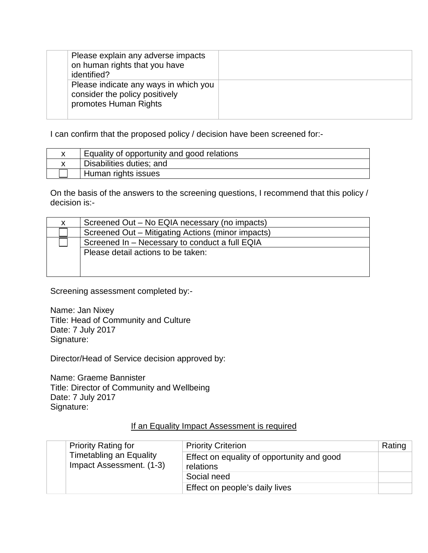| Please explain any adverse impacts<br>on human rights that you have<br>identified?               |  |
|--------------------------------------------------------------------------------------------------|--|
| Please indicate any ways in which you<br>consider the policy positively<br>promotes Human Rights |  |

I can confirm that the proposed policy / decision have been screened for:-

| Equality of opportunity and good relations |
|--------------------------------------------|
| Disabilities duties; and                   |
| Human rights issues                        |

On the basis of the answers to the screening questions, I recommend that this policy / decision is:-

| Screened Out – No EQIA necessary (no impacts)     |
|---------------------------------------------------|
| Screened Out – Mitigating Actions (minor impacts) |
| Screened In - Necessary to conduct a full EQIA    |
| Please detail actions to be taken:                |
|                                                   |
|                                                   |

Screening assessment completed by:-

Name: Jan Nixey Title: Head of Community and Culture Date: 7 July 2017 Signature:

Director/Head of Service decision approved by:

Name: Graeme Bannister Title: Director of Community and Wellbeing Date: 7 July 2017 Signature:

#### If an Equality Impact Assessment is required

|  | <b>Priority Rating for</b>                                 | <b>Priority Criterion</b>                               | Rating |
|--|------------------------------------------------------------|---------------------------------------------------------|--------|
|  | <b>Timetabling an Equality</b><br>Impact Assessment. (1-3) | Effect on equality of opportunity and good<br>relations |        |
|  |                                                            | Social need                                             |        |
|  |                                                            | Effect on people's daily lives                          |        |